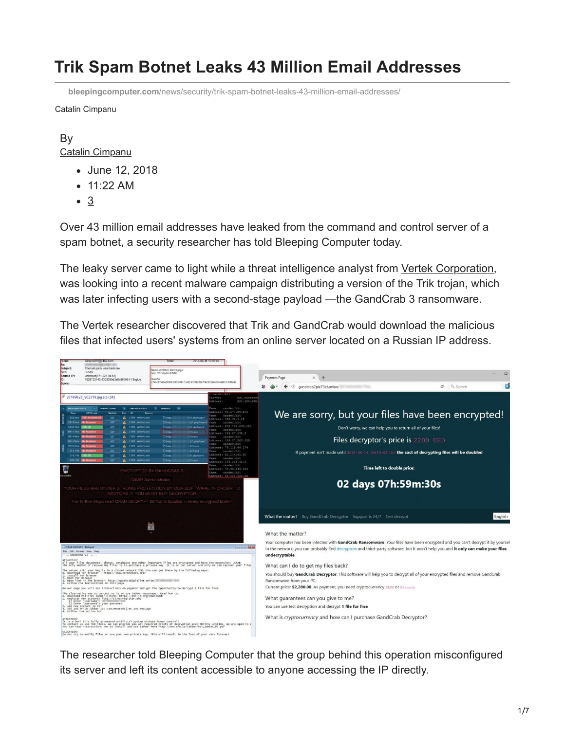# **Trik Spam Botnet Leaks 43 Million Email Addresses**

**bleepingcomputer.com**[/news/security/trik-spam-botnet-leaks-43-million-email-addresses/](https://www.bleepingcomputer.com/news/security/trik-spam-botnet-leaks-43-million-email-addresses/)

Catalin Cimpanu

#### By [Catalin Cimpanu](https://www.bleepingcomputer.com/author/catalin-cimpanu/)

- June 12, 2018
- 11:22 AM
- 3

Over 43 million email addresses have leaked from the command and control server of a spam botnet, a security researcher has told Bleeping Computer today.

The leaky server came to light while a threat intelligence analyst from [Vertek Corporation,](http://cybersecurity.vertek.com/) was looking into a recent malware campaign distributing a version of the Trik trojan, which was later infecting users with a second-stage payload —the GandCrab 3 ransomware.

The Vertek researcher discovered that Trik and GandCrab would download the malicious files that infected users' systems from an online server located on a Russian IP address.



The researcher told Bleeping Computer that the group behind this operation misconfigured its server and left its content accessible to anyone accessing the IP directly.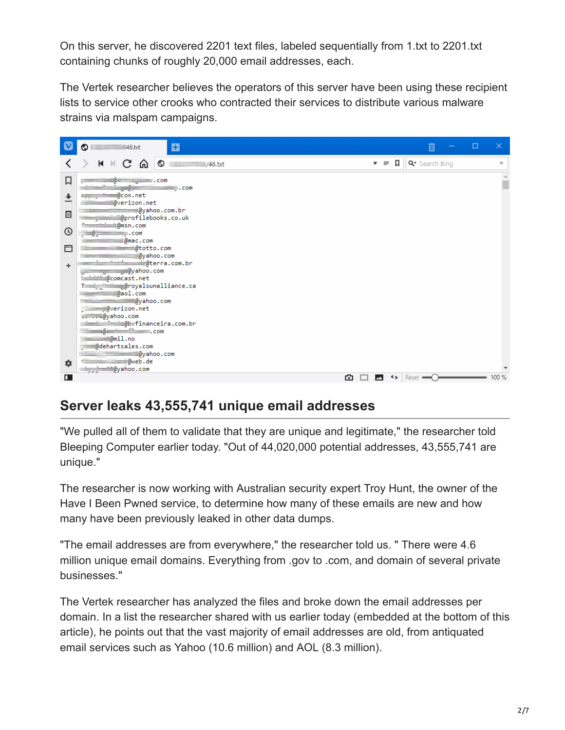On this server, he discovered 2201 text files, labeled sequentially from 1.txt to 2201.txt containing chunks of roughly 20,000 email addresses, each.

The Vertek researcher believes the operators of this server have been using these recipient lists to service other crooks who contracted their services to distribute various malware strains via malspam campaigns.



## **Server leaks 43,555,741 unique email addresses**

"We pulled all of them to validate that they are unique and legitimate," the researcher told Bleeping Computer earlier today. "Out of 44,020,000 potential addresses, 43,555,741 are unique."

The researcher is now working with Australian security expert Troy Hunt, the owner of the Have I Been Pwned service, to determine how many of these emails are new and how many have been previously leaked in other data dumps.

"The email addresses are from everywhere," the researcher told us. " There were 4.6 million unique email domains. Everything from .gov to .com, and domain of several private businesses."

The Vertek researcher has analyzed the files and broke down the email addresses per domain. In a list the researcher shared with us earlier today (embedded at the bottom of this article), he points out that the vast majority of email addresses are old, from antiquated email services such as Yahoo (10.6 million) and AOL (8.3 million).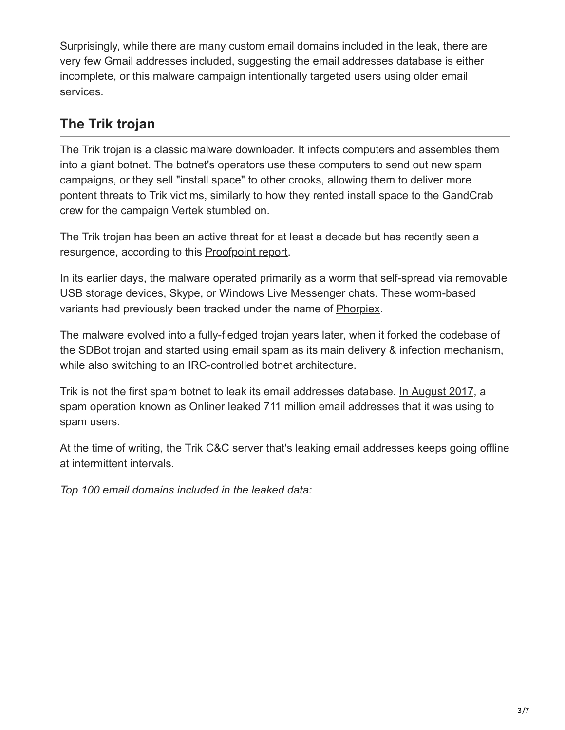Surprisingly, while there are many custom email domains included in the leak, there are very few Gmail addresses included, suggesting the email addresses database is either incomplete, or this malware campaign intentionally targeted users using older email services.

## **The Trik trojan**

The Trik trojan is a classic malware downloader. It infects computers and assembles them into a giant botnet. The botnet's operators use these computers to send out new spam campaigns, or they sell "install space" to other crooks, allowing them to deliver more pontent threats to Trik victims, similarly to how they rented install space to the GandCrab crew for the campaign Vertek stumbled on.

The Trik trojan has been an active threat for at least a decade but has recently seen a resurgence, according to this [Proofpoint report.](https://www.proofpoint.com/us/threat-insight/post/phorpiex-decade-spamming-shadows)

In its earlier days, the malware operated primarily as a worm that self-spread via removable USB storage devices, Skype, or Windows Live Messenger chats. These worm-based variants had previously been tracked under the name of [Phorpiex.](https://blog.trendmicro.com/trendlabs-security-intelligence/shylock-not-the-lone-threat-targeting-skype/)

The malware evolved into a fully-fledged trojan years later, when it forked the codebase of the SDBot trojan and started using email spam as its main delivery & infection mechanism, while also switching to an [IRC-controlled botnet architecture](https://www.johannesbader.ch/2016/02/phorpiex/).

Trik is not the first spam botnet to leak its email addresses database. [In August 2017,](https://benkowlab.blogspot.com/2017/08/from-onliner-spambot-to-millions-of.html) a spam operation known as Onliner leaked 711 million email addresses that it was using to spam users.

At the time of writing, the Trik C&C server that's leaking email addresses keeps going offline at intermittent intervals.

*Top 100 email domains included in the leaked data:*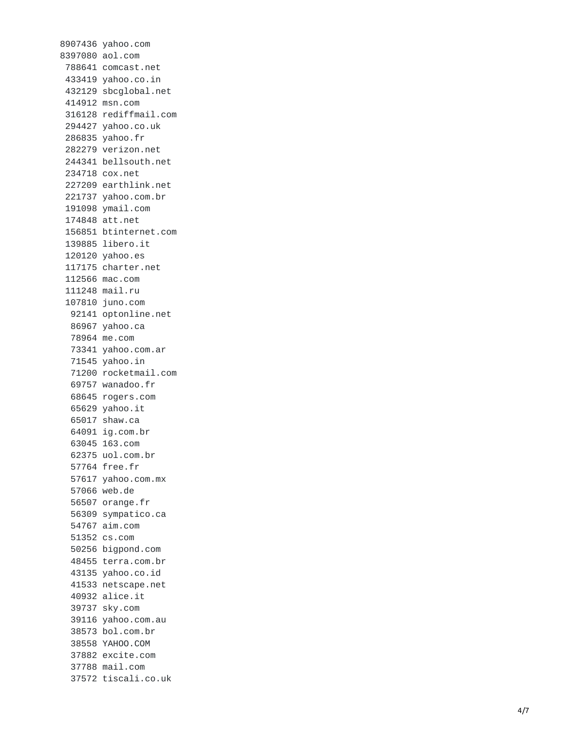8907436 yahoo.com 8397080 aol.com 788641 comcast.net 4 3 3 4 1 9 y a h o o.c o.i n 432129 sbcglobal.net 414912 msn.com 316128 rediffmail.com 294427 yahoo.co.uk 2 8 6 8 3 5 y a h o o.f r 282279 verizon.net 244341 bellsouth.net 234718 cox.net 227209 earthlink.net 221737 yahoo.com.br 191098 ymail.com 174848 att.net 156851 btinternet.com 139885 libero.it 120120 yahoo.es 117175 charter.net 112566 mac.com 111248 mail.ru 107810 juno.com 92141 optonline.net 86967 yahoo.ca 7 8 9 6 4 m e.c o m 73341 yahoo.com.ar 71545 yahoo.in 71200 rocketmail.com 69757 wanadoo.fr 68645 rogers.com 65629 yahoo.it 6 5 0 1 7 s h a w.c a 64091 ig.com.br 63045 163.com 6 2 3 7 5 u o l.c o m.b r 57764 free.fr 5 7 6 1 7 y a h o o.c o m.m x 5 7 0 6 6 w e b.d e 5 6 5 0 7 o r a n g e.f r 5 6 3 0 9 s y m p a t i c o.c a 54767 aim.com 5 1 3 5 2 c s.c o m 5 0 2 5 6 b i g p o n d.c o m 48455 terra.com.br 4 3 1 3 5 y a h o o.c o.i d 41533 netscape.net 40932 alice.it 39737 sky.com 39116 yahoo.com.au 3 8 5 7 3 b o l.c o m.b r 38558 YAHOO.COM 3 7 8 8 2 e x c i t e.c o m 37788 mail.com 37572 tiscali.co.uk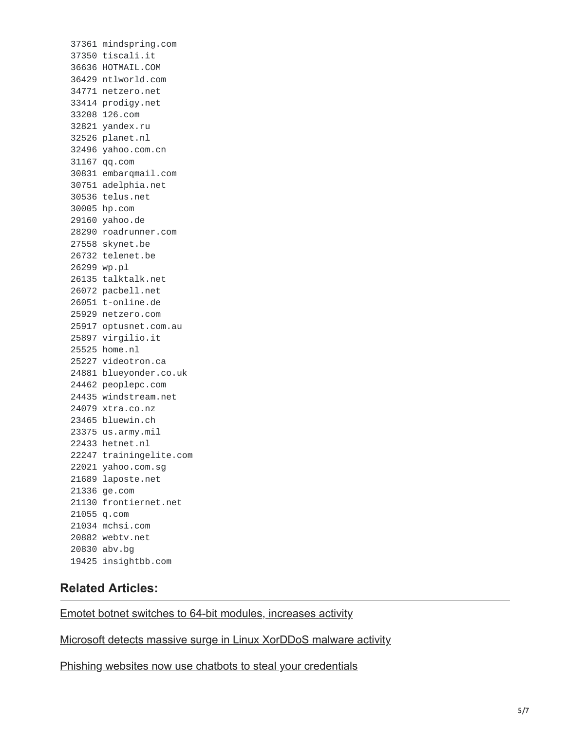mindspring.com tiscali.it HOTMAIL.COM ntlworld.com netzero.net prodigy.net 126.com yandex.ru planet.nl yahoo.com.cn qq.com embarqmail.com adelphia.net telus.net hp.com yahoo.de roadrunner.com skynet.be telenet.be wp.pl talktalk.net pacbell.net t-online.de netzero.com optusnet.com.au virgilio.it home.nl videotron.ca blueyonder.co.uk peoplepc.com windstream.net xtra.co.nz bluewin.ch us.army.mil hetnet.nl trainingelite.com yahoo.com.sg laposte.net ge.com frontiernet.net q.com mchsi.com webtv.net abv.bg insightbb.com

#### **Related Articles:**

[Emotet botnet switches to 64-bit modules, increases activity](https://www.bleepingcomputer.com/news/security/emotet-botnet-switches-to-64-bit-modules-increases-activity/)

[Microsoft detects massive surge in Linux XorDDoS malware activity](https://www.bleepingcomputer.com/news/security/microsoft-detects-massive-surge-in-linux-xorddos-malware-activity/)

[Phishing websites now use chatbots to steal your credentials](https://www.bleepingcomputer.com/news/security/phishing-websites-now-use-chatbots-to-steal-your-credentials/)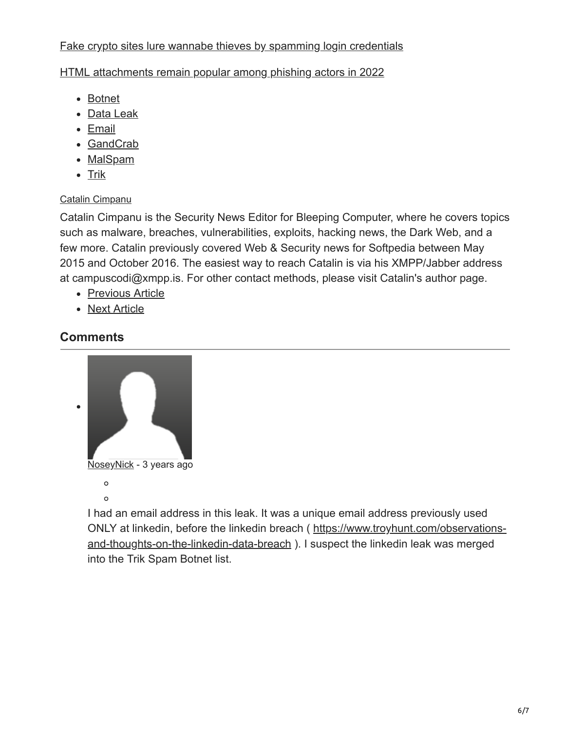### [Fake crypto sites lure wannabe thieves by spamming login credentials](https://www.bleepingcomputer.com/news/security/fake-crypto-sites-lure-wannabe-thieves-by-spamming-login-credentials/)

#### [HTML attachments remain popular among phishing actors in 2022](https://www.bleepingcomputer.com/news/security/html-attachments-remain-popular-among-phishing-actors-in-2022/)

- [Botnet](https://www.bleepingcomputer.com/tag/botnet/)
- [Data Leak](https://www.bleepingcomputer.com/tag/data-leak/)
- [Email](https://www.bleepingcomputer.com/tag/email/)
- [GandCrab](https://www.bleepingcomputer.com/tag/gandcrab/)
- [MalSpam](https://www.bleepingcomputer.com/tag/malspam/)
- $\bullet$  [Trik](https://www.bleepingcomputer.com/tag/trik/)

### [Catalin Cimpanu](https://www.bleepingcomputer.com/author/catalin-cimpanu/)

Catalin Cimpanu is the Security News Editor for Bleeping Computer, where he covers topics such as malware, breaches, vulnerabilities, exploits, hacking news, the Dark Web, and a few more. Catalin previously covered Web & Security news for Softpedia between May 2015 and October 2016. The easiest way to reach Catalin is via his XMPP/Jabber address at campuscodi@xmpp.is. For other contact methods, please visit Catalin's author page.

- [Previous Article](https://www.bleepingcomputer.com/news/security/around-5-percent-of-all-monero-currently-in-circulation-has-been-mined-using-malware/)
- [Next Article](https://www.bleepingcomputer.com/news/security/mac-security-tool-bugs-allow-malware-to-appear-as-apple-software/)

### **Comments**



I had an email address in this leak. It was a unique email address previously used [ONLY at linkedin, before the linkedin breach \( https://www.troyhunt.com/observations](https://www.troyhunt.com/observations-and-thoughts-on-the-linkedin-data-breach)and-thoughts-on-the-linkedin-data-breach ). I suspect the linkedin leak was merged into the Trik Spam Botnet list.